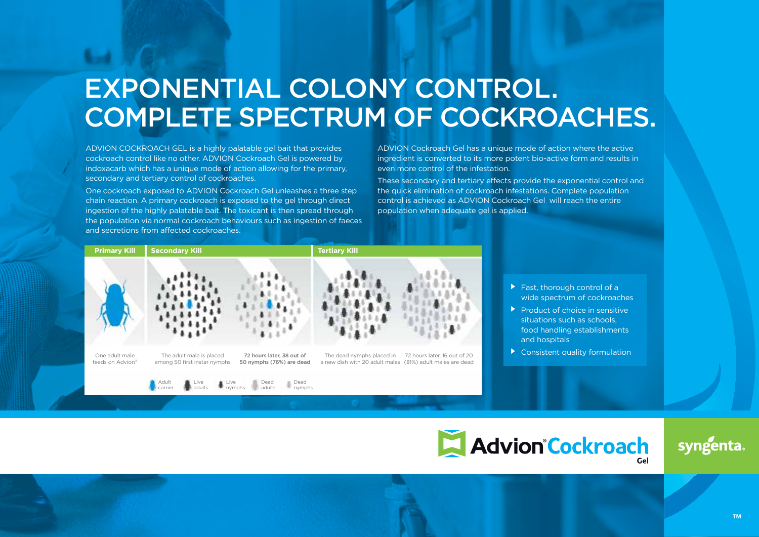# EXPONENTIAL COLONY CONTROL. COMPLETE SPECTRUM OF COCKROACHES.

ADVION COCKROACH GEL is a highly palatable gel bait that provides cockroach control like no other. ADVION Cockroach Gel is powered by indoxacarb which has a unique mode of action allowing for the primary, secondary and tertiary control of cockroaches.

One cockroach exposed to ADVION Cockroach Gel unleashes a three step chain reaction. A primary cockroach is exposed to the gel through direct ingestion of the highly palatable bait. The toxicant is then spread through the population via normal cockroach behaviours such as ingestion of faeces and secretions from affected cockroaches.

carrier

ADVION Cockroach Gel has a unique mode of action where the active ingredient is converted to its more potent bio-active form and results in even more control of the infestation.

These secondary and tertiary effects provide the exponential control and the quick elimination of cockroach infestations. Complete population control is achieved as ADVION Cockroach Gel will reach the entire population when adequate gel is applied.



nymphs

- ▶ Fast, thorough control of a wide spectrum of cockroaches
- $\blacktriangleright$  Product of choice in sensitive situations such as schools, food handling establishments and hospitals
- Consistent quality formulation



syngenta